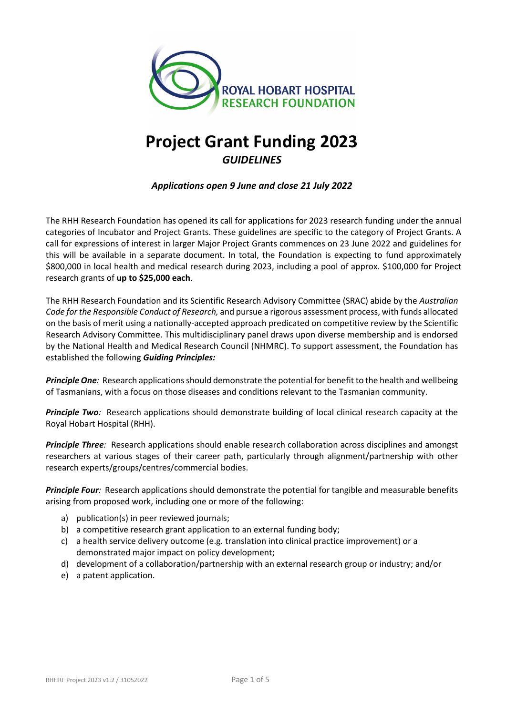

# **Project Grant Funding 2023** *GUIDELINES*

*Applications open 9 June and close 21 July 2022*

The RHH Research Foundation has opened its call for applications for 2023 research funding under the annual categories of Incubator and Project Grants. These guidelines are specific to the category of Project Grants. A call for expressions of interest in larger Major Project Grants commences on 23 June 2022 and guidelines for this will be available in a separate document. In total, the Foundation is expecting to fund approximately \$800,000 in local health and medical research during 2023, including a pool of approx. \$100,000 for Project research grants of **up to \$25,000 each**.

The RHH Research Foundation and its Scientific Research Advisory Committee (SRAC) abide by the *Australian Code for the Responsible Conduct of Research,* and pursue a rigorous assessment process, with funds allocated on the basis of merit using a nationally-accepted approach predicated on competitive review by the Scientific Research Advisory Committee. This multidisciplinary panel draws upon diverse membership and is endorsed by the National Health and Medical Research Council (NHMRC). To support assessment, the Foundation has established the following *Guiding Principles:*

*Principle One:* Research applications should demonstrate the potential for benefit to the health and wellbeing of Tasmanians, with a focus on those diseases and conditions relevant to the Tasmanian community.

**Principle Two**: Research applications should demonstrate building of local clinical research capacity at the Royal Hobart Hospital (RHH).

*Principle Three:* Research applications should enable research collaboration across disciplines and amongst researchers at various stages of their career path, particularly through alignment/partnership with other research experts/groups/centres/commercial bodies.

*Principle Four*: Research applications should demonstrate the potential for tangible and measurable benefits arising from proposed work, including one or more of the following:

- a) publication(s) in peer reviewed journals;
- b) a competitive research grant application to an external funding body;
- c) a health service delivery outcome (e.g. translation into clinical practice improvement) or a demonstrated major impact on policy development;
- d) development of a collaboration/partnership with an external research group or industry; and/or
- e) a patent application.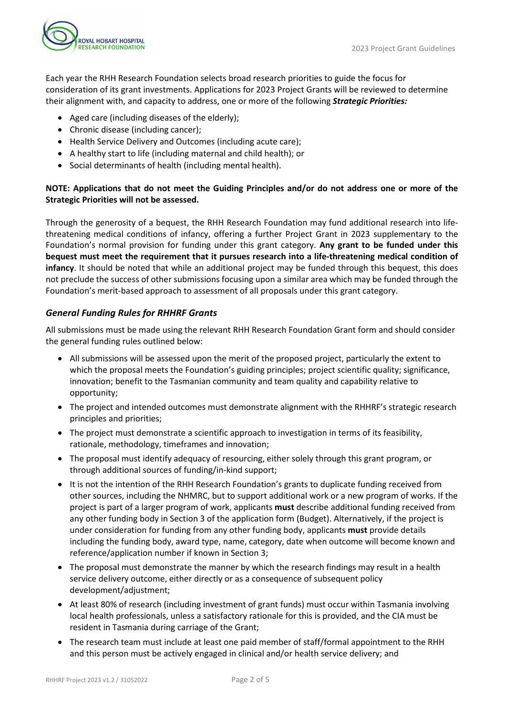

Each year the RHH Research Foundation selects broad research priorities to guide the focus for consideration of its grant investments. Applications for 2023 Project Grants will be reviewed to determine their alignment with, and capacity to address, one or more of the following *Strategic Priorities:*

- Aged care (including diseases of the elderly);
- Chronic disease (including cancer);
- Health Service Delivery and Outcomes (including acute care);
- A healthy start to life (including maternal and child health); or
- Social determinants of health (including mental health).

# **NOTE: Applications that do not meet the Guiding Principles and/or do not address one or more of the Strategic Priorities will not be assessed.**

Through the generosity of a bequest, the RHH Research Foundation may fund additional research into lifethreatening medical conditions of infancy, offering a further Project Grant in 2023 supplementary to the Foundation's normal provision for funding under this grant category. **Any grant to be funded under this bequest must meet the requirement that it pursues research into a life-threatening medical condition of infancy**. It should be noted that while an additional project may be funded through this bequest, this does not preclude the success of other submissions focusing upon a similar area which may be funded through the Foundation's merit-based approach to assessment of all proposals under this grant category.

# *General Funding Rules for RHHRF Grants*

All submissions must be made using the relevant RHH Research Foundation Grant form and should consider the general funding rules outlined below:

- All submissions will be assessed upon the merit of the proposed project, particularly the extent to which the proposal meets the Foundation's guiding principles; project scientific quality; significance, innovation; benefit to the Tasmanian community and team quality and capability relative to opportunity;
- The project and intended outcomes must demonstrate alignment with the RHHRF's strategic research principles and priorities;
- The project must demonstrate a scientific approach to investigation in terms of its feasibility, rationale, methodology, timeframes and innovation;
- The proposal must identify adequacy of resourcing, either solely through this grant program, or through additional sources of funding/in-kind support;
- It is not the intention of the RHH Research Foundation's grants to duplicate funding received from other sources, including the NHMRC, but to support additional work or a new program of works. If the project is part of a larger program of work, applicants **must** describe additional funding received from any other funding body in Section 3 of the application form (Budget). Alternatively, if the project is under consideration for funding from any other funding body, applicants **must** provide details including the funding body, award type, name, category, date when outcome will become known and reference/application number if known in Section 3;
- The proposal must demonstrate the manner by which the research findings may result in a health service delivery outcome, either directly or as a consequence of subsequent policy development/adjustment;
- At least 80% of research (including investment of grant funds) must occur within Tasmania involving local health professionals, unless a satisfactory rationale for this is provided, and the CIA must be resident in Tasmania during carriage of the Grant;
- The research team must include at least one paid member of staff/formal appointment to the RHH and this person must be actively engaged in clinical and/or health service delivery; and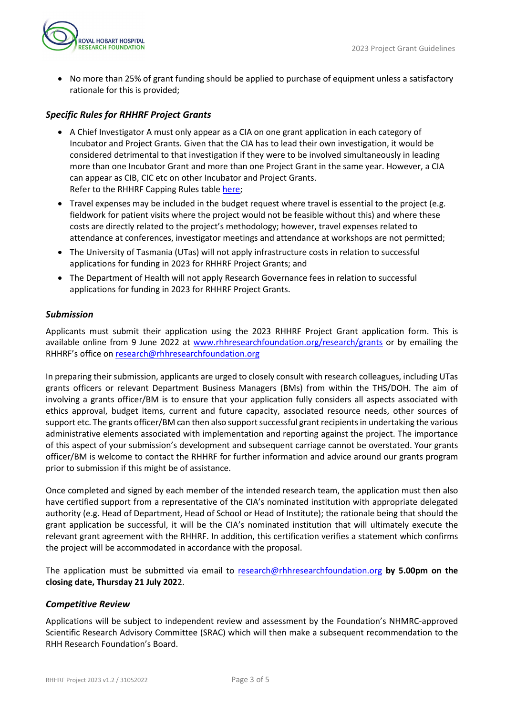

• No more than 25% of grant funding should be applied to purchase of equipment unless a satisfactory rationale for this is provided;

# *Specific Rules for RHHRF Project Grants*

- A Chief Investigator A must only appear as a CIA on one grant application in each category of Incubator and Project Grants. Given that the CIA has to lead their own investigation, it would be considered detrimental to that investigation if they were to be involved simultaneously in leading more than one Incubator Grant and more than one Project Grant in the same year. However, a CIA can appear as CIB, CIC etc on other Incubator and Project Grants. Refer to the RHHRF Capping Rules table [here;](https://www.rhhresearchfoundation.org/sites/default/files/wysiwyg_images/rhhrf_capping_table_2023_grant_round.pdf)
- Travel expenses may be included in the budget request where travel is essential to the project (e.g. fieldwork for patient visits where the project would not be feasible without this) and where these costs are directly related to the project's methodology; however, travel expenses related to attendance at conferences, investigator meetings and attendance at workshops are not permitted;
- The University of Tasmania (UTas) will not apply infrastructure costs in relation to successful applications for funding in 2023 for RHHRF Project Grants; and
- The Department of Health will not apply Research Governance fees in relation to successful applications for funding in 2023 for RHHRF Project Grants.

## *Submission*

Applicants must submit their application using the 2023 RHHRF Project Grant application form. This is available online from 9 June 2022 at [www.rhhresearchfoundation.org/research/grants](https://www.rhhresearchfoundation.org/research/grants) or by emailing the RHHRF's office on [research@rhhresearchfoundation.org](mailto:research@rhhresearchfoundation.org)

In preparing their submission, applicants are urged to closely consult with research colleagues, including UTas grants officers or relevant Department Business Managers (BMs) from within the THS/DOH. The aim of involving a grants officer/BM is to ensure that your application fully considers all aspects associated with ethics approval, budget items, current and future capacity, associated resource needs, other sources of support etc. The grants officer/BM can then also support successful grant recipients in undertaking the various administrative elements associated with implementation and reporting against the project. The importance of this aspect of your submission's development and subsequent carriage cannot be overstated. Your grants officer/BM is welcome to contact the RHHRF for further information and advice around our grants program prior to submission if this might be of assistance.

Once completed and signed by each member of the intended research team, the application must then also have certified support from a representative of the CIA's nominated institution with appropriate delegated authority (e.g. Head of Department, Head of School or Head of Institute); the rationale being that should the grant application be successful, it will be the CIA's nominated institution that will ultimately execute the relevant grant agreement with the RHHRF. In addition, this certification verifies a statement which confirms the project will be accommodated in accordance with the proposal.

The application must be submitted via email to [research@rhhresearchfoundation.org](mailto:research@rhhresearchfoundation.org) **by 5.00pm on the closing date, Thursday 21 July 202**2.

# *Competitive Review*

Applications will be subject to independent review and assessment by the Foundation's NHMRC-approved Scientific Research Advisory Committee (SRAC) which will then make a subsequent recommendation to the RHH Research Foundation's Board.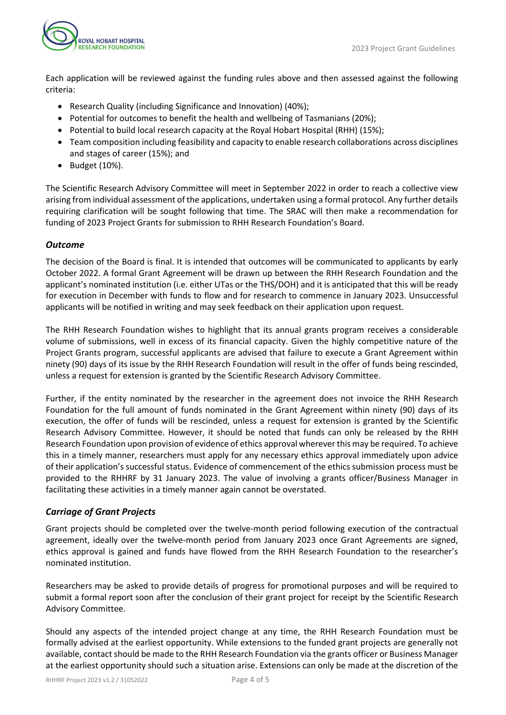

Each application will be reviewed against the funding rules above and then assessed against the following criteria:

- Research Quality (including Significance and Innovation) (40%);
- Potential for outcomes to benefit the health and wellbeing of Tasmanians (20%);
- Potential to build local research capacity at the Royal Hobart Hospital (RHH) (15%);
- Team composition including feasibility and capacity to enable research collaborations across disciplines and stages of career (15%); and
- Budget (10%).

The Scientific Research Advisory Committee will meet in September 2022 in order to reach a collective view arising from individual assessment of the applications, undertaken using a formal protocol. Any further details requiring clarification will be sought following that time. The SRAC will then make a recommendation for funding of 2023 Project Grants for submission to RHH Research Foundation's Board.

## *Outcome*

The decision of the Board is final. It is intended that outcomes will be communicated to applicants by early October 2022. A formal Grant Agreement will be drawn up between the RHH Research Foundation and the applicant's nominated institution (i.e. either UTas or the THS/DOH) and it is anticipated that this will be ready for execution in December with funds to flow and for research to commence in January 2023. Unsuccessful applicants will be notified in writing and may seek feedback on their application upon request.

The RHH Research Foundation wishes to highlight that its annual grants program receives a considerable volume of submissions, well in excess of its financial capacity. Given the highly competitive nature of the Project Grants program, successful applicants are advised that failure to execute a Grant Agreement within ninety (90) days of its issue by the RHH Research Foundation will result in the offer of funds being rescinded, unless a request for extension is granted by the Scientific Research Advisory Committee.

Further, if the entity nominated by the researcher in the agreement does not invoice the RHH Research Foundation for the full amount of funds nominated in the Grant Agreement within ninety (90) days of its execution, the offer of funds will be rescinded, unless a request for extension is granted by the Scientific Research Advisory Committee. However, it should be noted that funds can only be released by the RHH Research Foundation upon provision of evidence of ethics approval wherever this may be required. To achieve this in a timely manner, researchers must apply for any necessary ethics approval immediately upon advice of their application's successful status. Evidence of commencement of the ethics submission process must be provided to the RHHRF by 31 January 2023. The value of involving a grants officer/Business Manager in facilitating these activities in a timely manner again cannot be overstated.

# *Carriage of Grant Projects*

Grant projects should be completed over the twelve-month period following execution of the contractual agreement, ideally over the twelve-month period from January 2023 once Grant Agreements are signed, ethics approval is gained and funds have flowed from the RHH Research Foundation to the researcher's nominated institution.

Researchers may be asked to provide details of progress for promotional purposes and will be required to submit a formal report soon after the conclusion of their grant project for receipt by the Scientific Research Advisory Committee.

Should any aspects of the intended project change at any time, the RHH Research Foundation must be formally advised at the earliest opportunity. While extensions to the funded grant projects are generally not available, contact should be made to the RHH Research Foundation via the grants officer or Business Manager at the earliest opportunity should such a situation arise. Extensions can only be made at the discretion of the